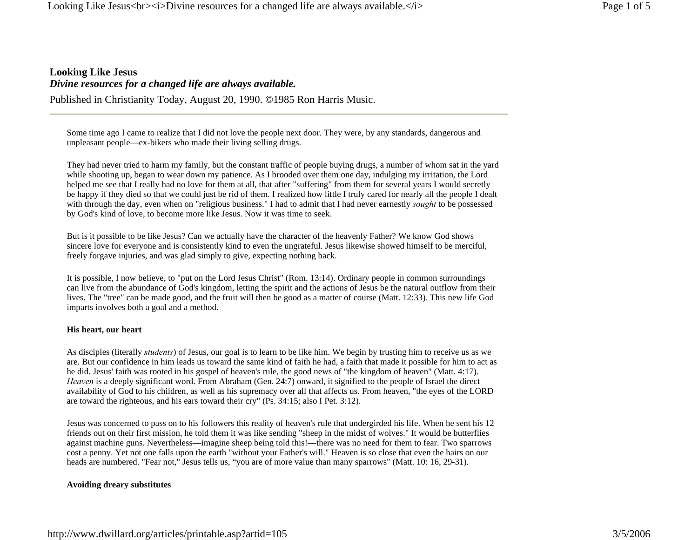# **Looking Like Jesus**  *Divine resources for a changed life are always available.*

Published in Christianity Today, August 20, 1990. ©1985 Ron Harris Music.

Some time ago I came to realize that I did not love the people next door. They were, by any standards, dangerous and unpleasant people—ex-bikers who made their living selling drugs.

They had never tried to harm my family, but the constant traffic of people buying drugs, a number of whom sat in the yard while shooting up, began to wear down my patience. As I brooded over them one day, indulging my irritation, the Lord helped me see that I really had no love for them at all, that after "suffering" from them for several years I would secretly be happy if they died so that we could just be rid of them. I realized how little I truly cared for nearly all the people I dealt with through the day, even when on "religious business." I had to admit that I had never earnestly *sought* to be possessed by God's kind of love, to become more like Jesus. Now it was time to seek.

But is it possible to be like Jesus? Can we actually have the character of the heavenly Father? We know God shows sincere love for everyone and is consistently kind to even the ungrateful. Jesus likewise showed himself to be merciful, freely forgave injuries, and was glad simply to give, expecting nothing back.

It is possible, I now believe, to "put on the Lord Jesus Christ" (Rom. 13:14). Ordinary people in common surroundings can live from the abundance of God's kingdom, letting the spirit and the actions of Jesus be the natural outflow from their lives. The "tree" can be made good, and the fruit will then be good as a matter of course (Matt. 12:33). This new life God imparts involves both a goal and a method.

### **His heart, our heart**

As disciples (literally *students*) of Jesus, our goal is to learn to be like him. We begin by trusting him to receive us as we are. But our confidence in him leads us toward the same kind of faith he had, a faith that made it possible for him to act as he did. Jesus' faith was rooted in his gospel of heaven's rule, the good news of "the kingdom of heaven" (Matt. 4:17). *Heaven* is a deeply significant word. From Abraham (Gen. 24:7) onward, it signified to the people of Israel the direct availability of God to his children, as well as his supremacy over all that affects us. From heaven, "the eyes of the LORD are toward the righteous, and his ears toward their cry" (Ps. 34:15; also I Pet. 3:12).

Jesus was concerned to pass on to his followers this reality of heaven's rule that undergirded his life. When he sent his 12 friends out on their first mission, he told them it was like sending "sheep in the midst of wolves." It would be butterflies against machine guns. Nevertheless—imagine sheep being told this!—there was no need for them to fear. Two sparrows cost a penny. Yet not one falls upon the earth "without your Father's will." Heaven is so close that even the hairs on our heads are numbered. "Fear not," Jesus tells us, "you are of more value than many sparrows" (Matt. 10: 16, 29-31).

## **Avoiding dreary substitutes**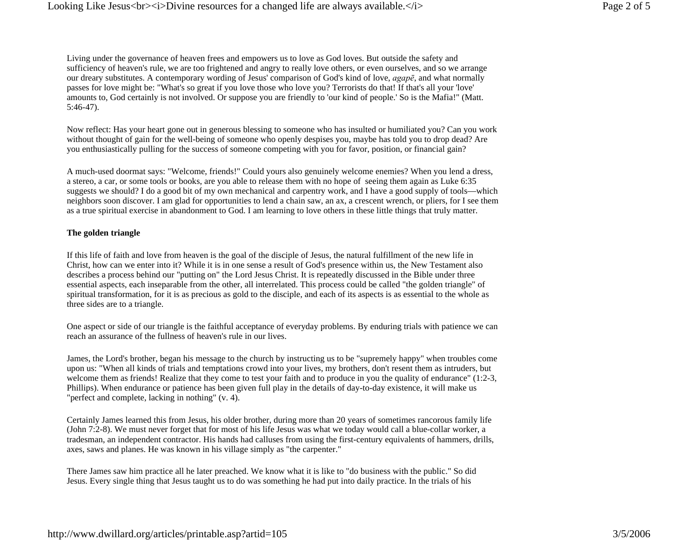Living under the governance of heaven frees and empowers us to love as God loves. But outside the safety and sufficiency of heaven's rule, we are too frightened and angry to really love others, or even ourselves, and so we arrange our dreary substitutes. A contemporary wording of Jesus' comparison of God's kind of love, *agapē*, and what normally passes for love might be: "What's so great if you love those who love you? Terrorists do that! If that's all your 'love' amounts to, God certainly is not involved. Or suppose you are friendly to 'our kind of people.' So is the Mafia!" (Matt. 5:46-47).

Now reflect: Has your heart gone out in generous blessing to someone who has insulted or humiliated you? Can you work without thought of gain for the well-being of someone who openly despises you, maybe has told you to drop dead? Are you enthusiastically pulling for the success of someone competing with you for favor, position, or financial gain?

A much-used doormat says: "Welcome, friends!" Could yours also genuinely welcome enemies? When you lend a dress, a stereo, a car, or some tools or books, are you able to release them with no hope of seeing them again as Luke 6:35 suggests we should? I do a good bit of my own mechanical and carpentry work, and I have a good supply of tools—which neighbors soon discover. I am glad for opportunities to lend a chain saw, an ax, a crescent wrench, or pliers, for I see them as a true spiritual exercise in abandonment to God. I am learning to love others in these little things that truly matter.

#### **The golden triangle**

If this life of faith and love from heaven is the goal of the disciple of Jesus, the natural fulfillment of the new life in Christ, how can we enter into it? While it is in one sense a result of God's presence within us, the New Testament also describes a process behind our "putting on" the Lord Jesus Christ. It is repeatedly discussed in the Bible under three essential aspects, each inseparable from the other, all interrelated. This process could be called "the golden triangle" of spiritual transformation, for it is as precious as gold to the disciple, and each of its aspects is as essential to the whole as three sides are to a triangle.

One aspect or side of our triangle is the faithful acceptance of everyday problems. By enduring trials with patience we can reach an assurance of the fullness of heaven's rule in our lives.

James, the Lord's brother, began his message to the church by instructing us to be "supremely happy" when troubles come upon us: "When all kinds of trials and temptations crowd into your lives, my brothers, don't resent them as intruders, but welcome them as friends! Realize that they come to test your faith and to produce in you the quality of endurance" (1:2-3, Phillips). When endurance or patience has been given full play in the details of day-to-day existence, it will make us "perfect and complete, lacking in nothing" (v. 4).

Certainly James learned this from Jesus, his older brother, during more than 20 years of sometimes rancorous family life (John 7:2-8). We must never forget that for most of his life Jesus was what we today would call a blue-collar worker, a tradesman, an independent contractor. His hands had calluses from using the first-century equivalents of hammers, drills, axes, saws and planes. He was known in his village simply as "the carpenter."

There James saw him practice all he later preached. We know what it is like to "do business with the public." So did Jesus. Every single thing that Jesus taught us to do was something he had put into daily practice. In the trials of his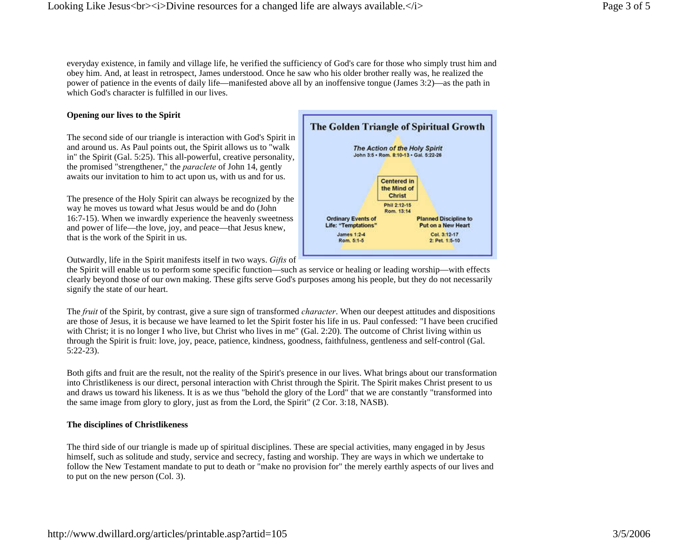everyday existence, in family and village life, he verified the sufficiency of God's care for those who simply trust him and obey him. And, at least in retrospect, James understood. Once he saw who his older brother really was, he realized the power of patience in the events of daily life—manifested above all by an inoffensive tongue (James 3:2)—as the path in which God's character is fulfilled in our lives.

#### **Opening our lives to the Spirit**

The second side of our triangle is interaction with God's Spirit in and around us. As Paul points out, the Spirit allows us to "walk in" the Spirit (Gal. 5:25). This all-powerful, creative personality, the promised "strengthener," the *paraclete* of John 14, gently awaits our invitation to him to act upon us, with us and for us.

The presence of the Holy Spirit can always be recognized by the way he moves us toward what Jesus would be and do (John 16:7-15). When we inwardly experience the heavenly sweetness and power of life—the love, joy, and peace—that Jesus knew, that is the work of the Spirit in us.



Outwardly, life in the Spirit manifests itself in two ways. *Gifts* of

the Spirit will enable us to perform some specific function—such as service or healing or leading worship—with effects clearly beyond those of our own making. These gifts serve God's purposes among his people, but they do not necessarily signify the state of our heart.

The *fruit* of the Spirit, by contrast, give a sure sign of transformed *character*. When our deepest attitudes and dispositions are those of Jesus, it is because we have learned to let the Spirit foster his life in us. Paul confessed: "I have been crucified with Christ; it is no longer I who live, but Christ who lives in me" (Gal. 2:20). The outcome of Christ living within us through the Spirit is fruit: love, joy, peace, patience, kindness, goodness, faithfulness, gentleness and self-control (Gal. 5:22-23).

Both gifts and fruit are the result, not the reality of the Spirit's presence in our lives. What brings about our transformation into Christlikeness is our direct, personal interaction with Christ through the Spirit. The Spirit makes Christ present to us and draws us toward his likeness. It is as we thus "behold the glory of the Lord" that we are constantly "transformed into the same image from glory to glory, just as from the Lord, the Spirit" (2 Cor. 3:18, NASB).

#### **The disciplines of Christlikeness**

The third side of our triangle is made up of spiritual disciplines. These are special activities, many engaged in by Jesus himself, such as solitude and study, service and secrecy, fasting and worship. They are ways in which we undertake to follow the New Testament mandate to put to death or "make no provision for" the merely earthly aspects of our lives and to put on the new person (Col. 3).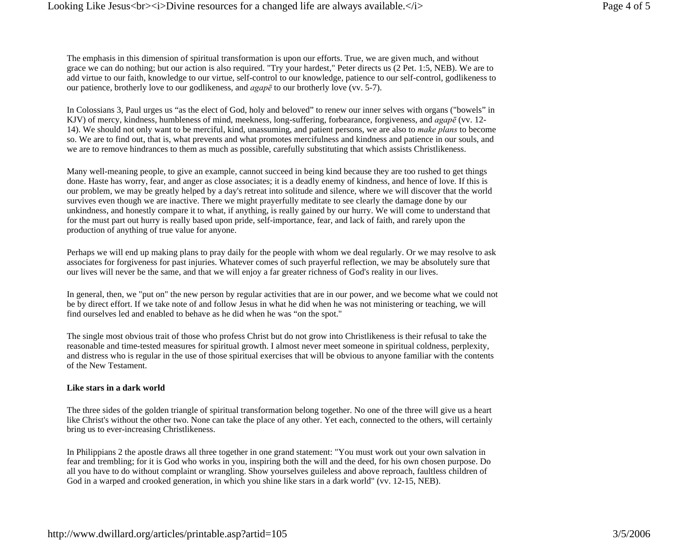The emphasis in this dimension of spiritual transformation is upon our efforts. True, we are given much, and without grace we can do nothing; but our action is also required. "Try your hardest," Peter directs us (2 Pet. 1:5, NEB). We are to add virtue to our faith, knowledge to our virtue, self-control to our knowledge, patience to our self-control, godlikeness to our patience, brotherly love to our godlikeness, and *agapē* to our brotherly love (vv. 5-7).

In Colossians 3, Paul urges us "as the elect of God, holy and beloved" to renew our inner selves with organs ("bowels" in KJV) of mercy, kindness, humbleness of mind, meekness, long-suffering, forbearance, forgiveness, and *agapē* (vv. 12- 14). We should not only want to be merciful, kind, unassuming, and patient persons, we are also to *make plans* to become so. We are to find out, that is, what prevents and what promotes mercifulness and kindness and patience in our souls, and we are to remove hindrances to them as much as possible, carefully substituting that which assists Christlikeness.

Many well-meaning people, to give an example, cannot succeed in being kind because they are too rushed to get things done. Haste has worry, fear, and anger as close associates; it is a deadly enemy of kindness, and hence of love. If this is our problem, we may be greatly helped by a day's retreat into solitude and silence, where we will discover that the world survives even though we are inactive. There we might prayerfully meditate to see clearly the damage done by our unkindness, and honestly compare it to what, if anything, is really gained by our hurry. We will come to understand that for the must part out hurry is really based upon pride, self-importance, fear, and lack of faith, and rarely upon the production of anything of true value for anyone.

Perhaps we will end up making plans to pray daily for the people with whom we deal regularly. Or we may resolve to ask associates for forgiveness for past injuries. Whatever comes of such prayerful reflection, we may be absolutely sure that our lives will never be the same, and that we will enjoy a far greater richness of God's reality in our lives.

In general, then, we "put on" the new person by regular activities that are in our power, and we become what we could not be by direct effort. If we take note of and follow Jesus in what he did when he was not ministering or teaching, we will find ourselves led and enabled to behave as he did when he was "on the spot."

The single most obvious trait of those who profess Christ but do not grow into Christlikeness is their refusal to take the reasonable and time-tested measures for spiritual growth. I almost never meet someone in spiritual coldness, perplexity, and distress who is regular in the use of those spiritual exercises that will be obvious to anyone familiar with the contents of the New Testament.

#### **Like stars in a dark world**

The three sides of the golden triangle of spiritual transformation belong together. No one of the three will give us a heart like Christ's without the other two. None can take the place of any other. Yet each, connected to the others, will certainly bring us to ever-increasing Christlikeness.

In Philippians 2 the apostle draws all three together in one grand statement: "You must work out your own salvation in fear and trembling; for it is God who works in you, inspiring both the will and the deed, for his own chosen purpose. Do all you have to do without complaint or wrangling. Show yourselves guileless and above reproach, faultless children of God in a warped and crooked generation, in which you shine like stars in a dark world" (vv. 12-15, NEB).